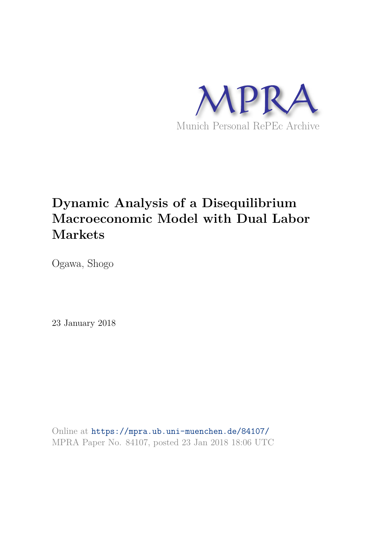

# **Dynamic Analysis of a Disequilibrium Macroeconomic Model with Dual Labor Markets**

Ogawa, Shogo

23 January 2018

Online at https://mpra.ub.uni-muenchen.de/84107/ MPRA Paper No. 84107, posted 23 Jan 2018 18:06 UTC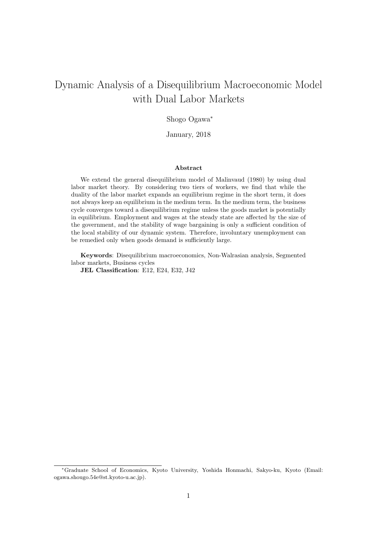## Dynamic Analysis of a Disequilibrium Macroeconomic Model with Dual Labor Markets

#### Shogo Ogawa<sup>∗</sup>

January, 2018

#### Abstract

We extend the general disequilibrium model of Malinvaud (1980) by using dual labor market theory. By considering two tiers of workers, we find that while the duality of the labor market expands an equilibrium regime in the short term, it does not always keep an equilibrium in the medium term. In the medium term, the business cycle converges toward a disequilibrium regime unless the goods market is potentially in equilibrium. Employment and wages at the steady state are affected by the size of the government, and the stability of wage bargaining is only a sufficient condition of the local stability of our dynamic system. Therefore, involuntary unemployment can be remedied only when goods demand is sufficiently large.

Keywords: Disequilibrium macroeconomics, Non-Walrasian analysis, Segmented labor markets, Business cycles

JEL Classification: E12, E24, E32, J42

<sup>∗</sup>Graduate School of Economics, Kyoto University, Yoshida Honmachi, Sakyo-ku, Kyoto (Email: ogawa.shougo.54e@st.kyoto-u.ac.jp).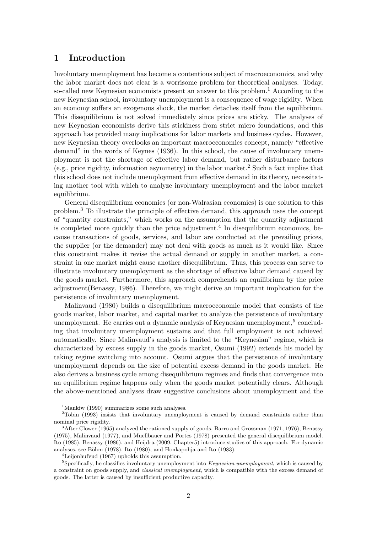## 1 Introduction

Involuntary unemployment has become a contentious subject of macroeconomics, and why the labor market does not clear is a worrisome problem for theoretical analyses. Today, so-called new Keynesian economists present an answer to this problem.<sup>1</sup> According to the new Keynesian school, involuntary unemployment is a consequence of wage rigidity. When an economy suffers an exogenous shock, the market detaches itself from the equilibrium. This disequilibrium is not solved immediately since prices are sticky. The analyses of new Keynesian economists derive this stickiness from strict micro foundations, and this approach has provided many implications for labor markets and business cycles. However, new Keynesian theory overlooks an important macroeconomics concept, namely "effective demand" in the words of Keynes (1936). In this school, the cause of involuntary unemployment is not the shortage of effective labor demand, but rather disturbance factors (e.g., price rigidity, information asymmetry) in the labor market.<sup>2</sup> Such a fact implies that this school does not include unemployment from effective demand in its theory, necessitating another tool with which to analyze involuntary unemployment and the labor market equilibrium.

General disequilibrium economics (or non-Walrasian economics) is one solution to this problem.<sup>3</sup> To illustrate the principle of effective demand, this approach uses the concept of "quantity constraints," which works on the assumption that the quantity adjustment is completed more quickly than the price adjustment.<sup>4</sup> In disequilibrium economics, because transactions of goods, services, and labor are conducted at the prevailing prices, the supplier (or the demander) may not deal with goods as much as it would like. Since this constraint makes it revise the actual demand or supply in another market, a constraint in one market might cause another disequilibrium. Thus, this process can serve to illustrate involuntary unemployment as the shortage of effective labor demand caused by the goods market. Furthermore, this approach comprehends an equilibrium by the price adjustment(Benassy, 1986). Therefore, we might derive an important implication for the persistence of involuntary unemployment.

Malinvaud (1980) builds a disequilibrium macroeconomic model that consists of the goods market, labor market, and capital market to analyze the persistence of involuntary unemployment. He carries out a dynamic analysis of Keynesian unemployment,<sup>5</sup> concluding that involuntary unemployment sustains and that full employment is not achieved automatically. Since Malinvaud's analysis is limited to the "Keynesian" regime, which is characterized by excess supply in the goods market, Osumi (1992) extends his model by taking regime switching into account. Osumi argues that the persistence of involuntary unemployment depends on the size of potential excess demand in the goods market. He also derives a business cycle among disequilibrium regimes and finds that convergence into an equilibrium regime happens only when the goods market potentially clears. Although the above-mentioned analyses draw suggestive conclusions about unemployment and the

 $1$ Mankiw (1990) summarizes some such analyses.

<sup>&</sup>lt;sup>2</sup>Tobin (1993) insists that involuntary unemployment is caused by demand constraints rather than nominal price rigidity.

 $3$ After Clower (1965) analyzed the rationed supply of goods, Barro and Grossman (1971, 1976), Benassy (1975), Malinvaud (1977), and Muellbauer and Portes (1978) presented the general disequilibrium model. Ito (1985), Benassy (1986), and Heijdra (2009, Chapter5) introduce studies of this approach. For dynamic analyses, see Böhm (1978), Ito (1980), and Honkapohja and Ito (1983).

<sup>4</sup>Leijonhufvud (1967) upholds this assumption.

 $5$ Specifically, he classifies involuntary unemployment into *Keynesian unemployment*, which is caused by a constraint on goods supply, and *classical unemployment*, which is compatible with the excess demand of goods. The latter is caused by insufficient productive capacity.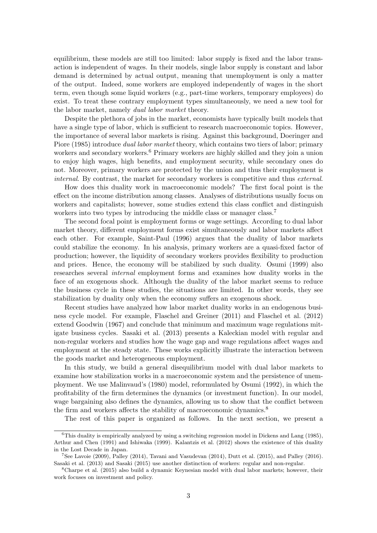equilibrium, these models are still too limited: labor supply is fixed and the labor transaction is independent of wages. In their models, single labor supply is constant and labor demand is determined by actual output, meaning that unemployment is only a matter of the output. Indeed, some workers are employed independently of wages in the short term, even though some liquid workers (e.g., part-time workers, temporary employees) do exist. To treat these contrary employment types simultaneously, we need a new tool for the labor market, namely *dual labor market* theory.

Despite the plethora of jobs in the market, economists have typically built models that have a single type of labor, which is sufficient to research macroeconomic topics. However, the importance of several labor markets is rising. Against this background, Doeringer and Piore (1985) introduce *dual labor market* theory, which contains two tiers of labor; primary workers and secondary workers.<sup>6</sup> Primary workers are highly skilled and they join a union to enjoy high wages, high benefits, and employment security, while secondary ones do not. Moreover, primary workers are protected by the union and thus their employment is *internal*. By contrast, the market for secondary workers is competitive and thus *external*.

How does this duality work in macroeconomic models? The first focal point is the effect on the income distribution among classes. Analyses of distributions usually focus on workers and capitalists; however, some studies extend this class conflict and distinguish workers into two types by introducing the middle class or manager class.<sup>7</sup>

The second focal point is employment forms or wage settings. According to dual labor market theory, different employment forms exist simultaneously and labor markets affect each other. For example, Saint-Paul (1996) argues that the duality of labor markets could stabilize the economy. In his analysis, primary workers are a quasi-fixed factor of production; however, the liquidity of secondary workers provides flexibility to production and prices. Hence, the economy will be stabilized by such duality. Osumi (1999) also researches several *internal* employment forms and examines how duality works in the face of an exogenous shock. Although the duality of the labor market seems to reduce the business cycle in these studies, the situations are limited. In other words, they see stabilization by duality only when the economy suffers an exogenous shock.

Recent studies have analyzed how labor market duality works in an endogenous business cycle model. For example, Flaschel and Greiner (2011) and Flaschel et al. (2012) extend Goodwin (1967) and conclude that minimum and maximum wage regulations mitigate business cycles. Sasaki et al. (2013) presents a Kaleckian model with regular and non-regular workers and studies how the wage gap and wage regulations affect wages and employment at the steady state. These works explicitly illustrate the interaction between the goods market and heterogeneous employment.

In this study, we build a general disequilibrium model with dual labor markets to examine how stabilization works in a macroeconomic system and the persistence of unemployment. We use Malinvaud's (1980) model, reformulated by Osumi (1992), in which the profitability of the firm determines the dynamics (or investment function). In our model, wage bargaining also defines the dynamics, allowing us to show that the conflict between the firm and workers affects the stability of macroeconomic dynamics.<sup>8</sup>

The rest of this paper is organized as follows. In the next section, we present a

 $6$ This duality is empirically analyzed by using a switching regression model in Dickens and Lang (1985), Arthur and Chen (1991) and Ishiwaka (1999). Kalantzis et al. (2012) shows the existence of this duality in the Lost Decade in Japan.

<sup>7</sup>See Lavoie (2009), Palley (2014), Tavani and Vasudevan (2014), Dutt et al. (2015), and Palley (2016). Sasaki et al. (2013) and Sasaki (2015) use another distinction of workers: regular and non-regular.

<sup>8</sup>Charpe et al. (2015) also build a dynamic Keynesian model with dual labor markets; however, their work focuses on investment and policy.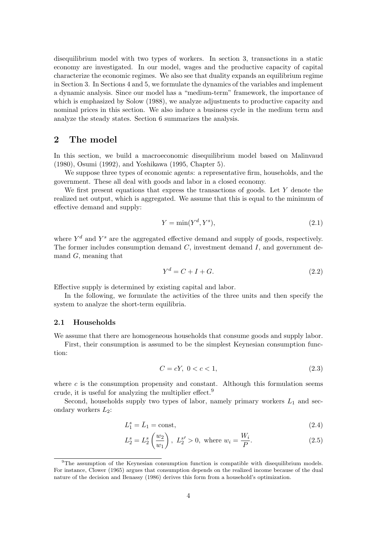disequilibrium model with two types of workers. In section 3, transactions in a static economy are investigated. In our model, wages and the productive capacity of capital characterize the economic regimes. We also see that duality expands an equilibrium regime in Section 3. In Sections 4 and 5, we formulate the dynamics of the variables and implement a dynamic analysis. Since our model has a "medium-term" framework, the importance of which is emphasized by Solow (1988), we analyze adjustments to productive capacity and nominal prices in this section. We also induce a business cycle in the medium term and analyze the steady states. Section 6 summarizes the analysis.

## 2 The model

In this section, we build a macroeconomic disequilibrium model based on Malinvaud (1980), Osumi (1992), and Yoshikawa (1995, Chapter 5).

We suppose three types of economic agents: a representative firm, households, and the government. These all deal with goods and labor in a closed economy.

We first present equations that express the transactions of goods. Let  $Y$  denote the realized net output, which is aggregated. We assume that this is equal to the minimum of effective demand and supply:

$$
Y = \min(Y^d, Y^s),\tag{2.1}
$$

where  $Y<sup>d</sup>$  and  $Y<sup>s</sup>$  are the aggregated effective demand and supply of goods, respectively. The former includes consumption demand  $C$ , investment demand  $I$ , and government demand G, meaning that

$$
Y^d = C + I + G.\tag{2.2}
$$

Effective supply is determined by existing capital and labor.

In the following, we formulate the activities of the three units and then specify the system to analyze the short-term equilibria.

#### 2.1 Households

We assume that there are homogeneous households that consume goods and supply labor.

First, their consumption is assumed to be the simplest Keynesian consumption function:

$$
C = cY, \ 0 < c < 1,\tag{2.3}
$$

where  $c$  is the consumption propensity and constant. Although this formulation seems crude, it is useful for analyzing the multiplier effect.<sup>9</sup>

Second, households supply two types of labor, namely primary workers  $L_1$  and secondary workers  $L_2$ :

$$
L_1^s = \bar{L}_1 = \text{const},\tag{2.4}
$$

$$
L_2^s = L_2^s \left(\frac{w_2}{w_1}\right), \ L_2^{s'} > 0, \text{ where } w_i = \frac{W_i}{P}.
$$
 (2.5)

<sup>9</sup>The assumption of the Keynesian consumption function is compatible with disequilibrium models. For instance, Clower (1965) argues that consumption depends on the realized income because of the dual nature of the decision and Benassy (1986) derives this form from a household's optimization.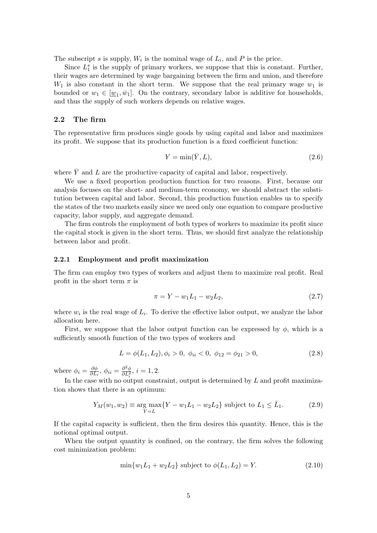The subscript s is supply,  $W_i$  is the nominal wage of  $L_i$ , and P is the price.

Since  $L_1^s$  is the supply of primary workers, we suppose that this is constant. Further, their wages are determined by wage bargaining between the firm and union, and therefore  $W_1$  is also constant in the short term. We suppose that the real primary wage  $w_1$  is bounded or  $w_1 \in [\underline{w}_1, \overline{w}_1]$ . On the contrary, secondary labor is additive for households, and thus the supply of such workers depends on relative wages.

#### 2.2 The firm

The representative firm produces single goods by using capital and labor and maximizes its profit. We suppose that its production function is a fixed coefficient function:

$$
Y = \min(\bar{Y}, L),\tag{2.6}
$$

where  $\overline{Y}$  and L are the productive capacity of capital and labor, respectively.

We use a fixed proportion production function for two reasons. First, because our analysis focuses on the short- and medium-term economy, we should abstract the substitution between capital and labor. Second, this production function enables us to specify the states of the two markets easily since we need only one equation to compare productive capacity, labor supply, and aggregate demand.

The firm controls the employment of both types of workers to maximize its profit since the capital stock is given in the short term. Thus, we should first analyze the relationship between labor and profit.

#### 2.2.1 Employment and profit maximization

The firm can employ two types of workers and adjust them to maximize real profit. Real profit in the short term  $\pi$  is

$$
\pi = Y - w_1 L_1 - w_2 L_2,\tag{2.7}
$$

where  $w_i$  is the real wage of  $L_i$ . To derive the effective labor output, we analyze the labor allocation here.

First, we suppose that the labor output function can be expressed by  $\phi$ , which is a sufficiently smooth function of the two types of workers and

$$
L = \phi(L_1, L_2), \phi_i > 0, \ \phi_{ii} < 0, \ \phi_{12} = \phi_{21} > 0,
$$
\n
$$
(2.8)
$$

where  $\phi_i = \frac{\partial \phi}{\partial L_i}$  $\frac{\partial \phi}{\partial L_i}, \phi_{ii} = \frac{\partial^2 \phi}{\partial L_i^2}$  $\frac{\partial^2 \phi}{\partial L_i^2}$ ,  $i = 1, 2$ .

In the case with no output constraint, output is determined by  $L$  and profit maximization shows that there is an optimum:

$$
Y_M(w_1, w_2) \equiv \underset{Y=L}{\text{arg max}} \{ Y - w_1 L_1 - w_2 L_2 \} \text{ subject to } L_1 \le \bar{L}_1. \tag{2.9}
$$

If the capital capacity is sufficient, then the firm desires this quantity. Hence, this is the notional optimal output.

When the output quantity is confined, on the contrary, the firm solves the following cost minimization problem:

$$
\min\{w_1 L_1 + w_2 L_2\} \text{ subject to } \phi(L_1, L_2) = Y. \tag{2.10}
$$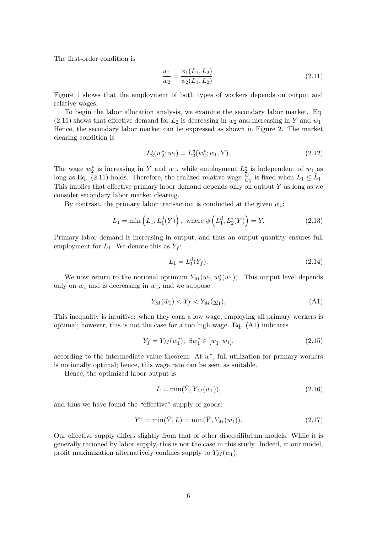The first-order condition is

$$
\frac{w_1}{w_2} = \frac{\phi_1(L_1, L_2)}{\phi_2(L_1, L_2)}.\tag{2.11}
$$

Figure 1 shows that the employment of both types of workers depends on output and relative wages.

To begin the labor allocation analysis, we examine the secondary labor market. Eq.  $(2.11)$  shows that effective demand for  $L_2$  is decreasing in  $w_2$  and increasing in Y and  $w_1$ . Hence, the secondary labor market can be expressed as shown in Figure 2. The market clearing condition is

$$
L_2^s(w_2^*; w_1) = L_2^d(w_2^*; w_1, Y). \tag{2.12}
$$

The wage  $w_2^*$  is increasing in Y and  $w_1$ , while employment  $L_2^*$  is independent of  $w_1$  as long as Eq. (2.11) holds. Therefore, the realized relative wage  $\frac{w_1}{w_2^*}$  is fixed when  $L_1 \leq \bar{L}_1$ . This implies that effective primary labor demand depends only on output  $Y$  as long as we consider secondary labor market clearing.

By contrast, the primary labor transaction is conducted at the given  $w_1$ :

$$
L_1 = \min\left(\bar{L}_1, L_1^d(Y)\right), \text{ where } \phi\left(L_1^d, L_2^*(Y)\right) = Y. \tag{2.13}
$$

Primary labor demand is increasing in output, and thus an output quantity ensures full employment for  $L_1$ . We denote this as  $Y_f$ :

$$
\bar{L}_1 = L_1^d(Y_f). \tag{2.14}
$$

We now return to the notional optimum  $Y_M(w_1, w_2^*(w_1))$ . This output level depends only on  $w_1$  and is decreasing in  $w_1$ , and we suppose

$$
Y_M(\bar{w}_1) < Y_f < Y_M(\underline{w}_1),\tag{A1}
$$

This inequality is intuitive: when they earn a low wage, employing all primary workers is optimal; however, this is not the case for a too high wage. Eq. (A1) indicates

$$
Y_f = Y_M(w_1^*), \ \exists w_1^* \in [\underline{w}_1, \overline{w}_1], \tag{2.15}
$$

according to the intermediate value theorem. At  $w_1^*$ , full utilization for primary workers is notionally optimal; hence, this wage rate can be seen as suitable.

Hence, the optimized labor output is

$$
L = \min(\bar{Y}, Y_M(w_1)),\tag{2.16}
$$

and thus we have found the "effective" supply of goods:

$$
Y^{s} = \min(\bar{Y}, L) = \min(\bar{Y}, Y_{M}(w_{1})).
$$
\n(2.17)

Our effective supply differs slightly from that of other disequilibrium models. While it is generally rationed by labor supply, this is not the case in this study. Indeed, in our model, profit maximization alternatively confines supply to  $Y_M(w_1)$ .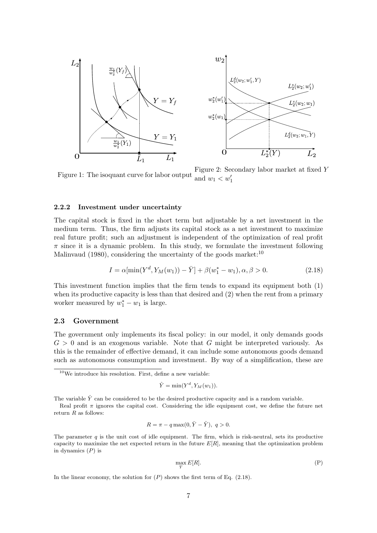

Figure 1: The isoquant curve for labor output Figure 2: Secondary labor market at fixed Y and  $w_1 < w'_1$ 

#### 2.2.2 Investment under uncertainty

The capital stock is fixed in the short term but adjustable by a net investment in the medium term. Thus, the firm adjusts its capital stock as a net investment to maximize real future profit; such an adjustment is independent of the optimization of real profit  $\pi$  since it is a dynamic problem. In this study, we formulate the investment following Malinvaud (1980), considering the uncertainty of the goods market: $10$ 

$$
I = \alpha[\min(Y^d, Y_M(w_1)) - \bar{Y}] + \beta(w_1^* - w_1), \alpha, \beta > 0.
$$
 (2.18)

This investment function implies that the firm tends to expand its equipment both (1) when its productive capacity is less than that desired and  $(2)$  when the rent from a primary worker measured by  $w_1^* - w_1$  is large.

#### 2.3 Government

The government only implements its fiscal policy: in our model, it only demands goods  $G > 0$  and is an exogenous variable. Note that G might be interpreted variously. As this is the remainder of effective demand, it can include some autonomous goods demand such as autonomous consumption and investment. By way of a simplification, these are

$$
\hat{Y} = \min(Y^d, Y_M(w_1)).
$$

The variable  $\hat{Y}$  can be considered to be the desired productive capacity and is a random variable.

$$
R = \pi - q \max(0, \bar{Y} - \hat{Y}), \ q > 0.
$$

$$
\max_{\bar{Y}} E[R]. \tag{P}
$$

In the linear economy, the solution for  $(P)$  shows the first term of Eq.  $(2.18)$ .

 $10$ We introduce his resolution. First, define a new variable:

Real profit  $\pi$  ignores the capital cost. Considering the idle equipment cost, we define the future net return  $R$  as follows:

The parameter  $q$  is the unit cost of idle equipment. The firm, which is risk-neutral, sets its productive capacity to maximize the net expected return in the future  $E[R]$ , meaning that the optimization problem in dynamics  $(P)$  is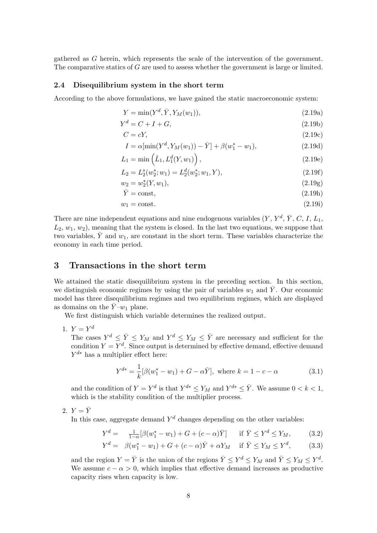gathered as G herein, which represents the scale of the intervention of the government. The comparative statics of G are used to assess whether the government is large or limited.

#### 2.4 Disequilibrium system in the short term

According to the above formulations, we have gained the static macroeconomic system:

$$
Y = \min(Y^d, \bar{Y}, Y_M(w_1)), \tag{2.19a}
$$

$$
Y^d = C + I + G,\tag{2.19b}
$$

$$
C = cY,\tag{2.19c}
$$

$$
I = \alpha[\min(Y^d, Y_M(w_1)) - \bar{Y}] + \beta(w_1^* - w_1), \tag{2.19d}
$$

$$
L_1 = \min\left(\bar{L}_1, L_1^d(Y, w_1)\right),\tag{2.19e}
$$

$$
L_2 = L_2^s(w_2^*; w_1) = L_2^d(w_2^*; w_1, Y), \tag{2.19f}
$$

$$
w_2 = w_2^*(Y, w_1), \tag{2.19g}
$$

$$
\bar{Y} = \text{const},\tag{2.19h}
$$

$$
w_1 = \text{const.}\tag{2.19i}
$$

There are nine independent equations and nine endogenous variables  $(Y, Y^d, \overline{Y}, C, I, L_1,$  $L_2, w_1, w_2$ , meaning that the system is closed. In the last two equations, we suppose that two variables,  $\overline{Y}$  and  $w_1$ , are constant in the short term. These variables characterize the economy in each time period.

## 3 Transactions in the short term

We attained the static disequilibrium system in the preceding section. In this section, we distinguish economic regimes by using the pair of variables  $w_1$  and  $\overline{Y}$ . Our economic model has three disequilibrium regimes and two equilibrium regimes, which are displayed as domains on the  $\bar{Y}-w_1$  plane.

We first distinguish which variable determines the realized output.

1.  $Y = Y^d$ 

The cases  $Y^d \leq \overline{Y} \leq Y_M$  and  $Y^d \leq Y_M \leq \overline{Y}$  are necessary and sufficient for the condition  $Y = Y<sup>d</sup>$ . Since output is determined by effective demand, effective demand  $Y^{d*}$  has a multiplier effect here:

$$
Y^{d*} = \frac{1}{k} [\beta(w_1^* - w_1) + G - \alpha \bar{Y}], \text{ where } k = 1 - c - \alpha \tag{3.1}
$$

and the condition of  $Y = Y^d$  is that  $Y^{d*} \le Y_M$  and  $Y^{d*} \le \overline{Y}$ . We assume  $0 < k < 1$ , which is the stability condition of the multiplier process.

2.  $Y = \overline{Y}$ 

In this case, aggregate demand  $Y^d$  changes depending on the other variables:

$$
Y^{d} = \frac{1}{1-\alpha} [\beta(w_1^* - w_1) + G + (c - \alpha)\bar{Y}] \quad \text{if } \bar{Y} \le Y^{d} \le Y_M,
$$
 (3.2)

$$
Y^{d} = \beta(w_{1}^{*} - w_{1}) + G + (c - \alpha)\bar{Y} + \alpha Y_{M} \quad \text{if } \bar{Y} \le Y_{M} \le Y^{d}, \qquad (3.3)
$$

and the region  $Y = \overline{Y}$  is the union of the regions  $\overline{Y} \leq Y^d \leq Y_M$  and  $\overline{Y} \leq Y_M \leq Y^d$ . We assume  $c - \alpha > 0$ , which implies that effective demand increases as productive capacity rises when capacity is low.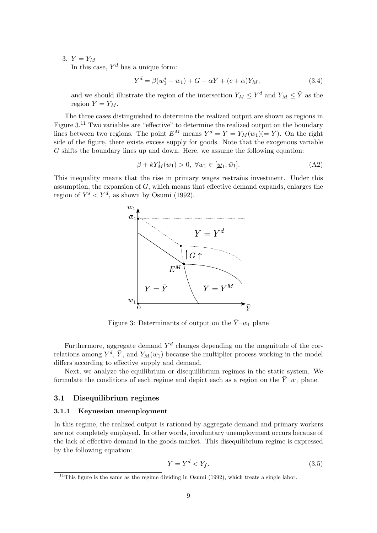## 3.  $Y = Y_M$

In this case,  $Y^d$  has a unique form:

$$
Y^{d} = \beta(w_1^* - w_1) + G - \alpha \bar{Y} + (c + \alpha)Y_M,
$$
\n(3.4)

and we should illustrate the region of the intersection  $Y_M \leq Y^d$  and  $Y_M \leq \overline{Y}$  as the region  $Y = Y_M$ .

The three cases distinguished to determine the realized output are shown as regions in Figure  $3<sup>11</sup>$  Two variables are "effective" to determine the realized output on the boundary lines between two regions. The point  $E^M$  means  $Y^d = \overline{Y} = Y_M(w_1)(=Y)$ . On the right side of the figure, there exists excess supply for goods. Note that the exogenous variable  $G$  shifts the boundary lines up and down. Here, we assume the following equation:

$$
\beta + kY'_M(w_1) > 0, \ \forall w_1 \in [\underline{w}_1, \overline{w}_1]. \tag{A2}
$$

This inequality means that the rise in primary wages restrains investment. Under this assumption, the expansion of  $G$ , which means that effective demand expands, enlarges the region of  $Y^s < Y^d$ , as shown by Osumi (1992).



Figure 3: Determinants of output on the  $\bar{Y}-w_1$  plane

Furthermore, aggregate demand  $Y^d$  changes depending on the magnitude of the correlations among  $Y^d$ ,  $\overline{Y}$ , and  $Y_M(w_1)$  because the multiplier process working in the model differs according to effective supply and demand.

Next, we analyze the equilibrium or disequilibrium regimes in the static system. We formulate the conditions of each regime and depict each as a region on the  $\bar{Y}-w_1$  plane.

#### 3.1 Disequilibrium regimes

#### 3.1.1 Keynesian unemployment

In this regime, the realized output is rationed by aggregate demand and primary workers are not completely employed. In other words, involuntary unemployment occurs because of the lack of effective demand in the goods market. This disequilibrium regime is expressed by the following equation:

$$
Y = Y^d < Y_f. \tag{3.5}
$$

 $11$ This figure is the same as the regime dividing in Osumi (1992), which treats a single labor.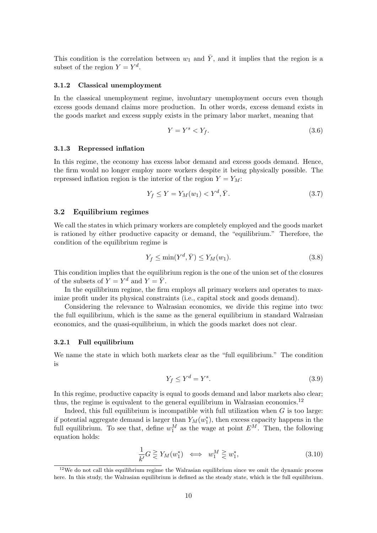This condition is the correlation between  $w_1$  and  $\overline{Y}$ , and it implies that the region is a subset of the region  $Y = Y^d$ .

#### 3.1.2 Classical unemployment

In the classical unemployment regime, involuntary unemployment occurs even though excess goods demand claims more production. In other words, excess demand exists in the goods market and excess supply exists in the primary labor market, meaning that

$$
Y = Y^s < Y_f. \tag{3.6}
$$

#### 3.1.3 Repressed inflation

In this regime, the economy has excess labor demand and excess goods demand. Hence, the firm would no longer employ more workers despite it being physically possible. The repressed inflation region is the interior of the region  $Y = Y_M$ :

$$
Y_f \le Y = Y_M(w_1) < Y^d, \bar{Y}.\tag{3.7}
$$

#### 3.2 Equilibrium regimes

We call the states in which primary workers are completely employed and the goods market is rationed by either productive capacity or demand, the "equilibrium." Therefore, the condition of the equilibrium regime is

$$
Y_f \le \min(Y^d, \bar{Y}) \le Y_M(w_1). \tag{3.8}
$$

This condition implies that the equilibrium region is the one of the union set of the closures of the subsets of  $Y = Y^d$  and  $Y = \overline{Y}$ .

In the equilibrium regime, the firm employs all primary workers and operates to maximize profit under its physical constraints (i.e., capital stock and goods demand).

Considering the relevance to Walrasian economics, we divide this regime into two: the full equilibrium, which is the same as the general equilibrium in standard Walrasian economics, and the quasi-equilibrium, in which the goods market does not clear.

#### 3.2.1 Full equilibrium

We name the state in which both markets clear as the "full equilibrium." The condition is

$$
Y_f \le Y^d = Y^s. \tag{3.9}
$$

In this regime, productive capacity is equal to goods demand and labor markets also clear; thus, the regime is equivalent to the general equilibrium in Walrasian economics.<sup>12</sup>

Indeed, this full equilibrium is incompatible with full utilization when  $G$  is too large: if potential aggregate demand is larger than  $Y_M(w_1^*)$ , then excess capacity happens in the full equilibrium. To see that, define  $w_1^M$  as the wage at point  $E^M$ . Then, the following equation holds:

$$
\frac{1}{k'}G \gtrless Y_M(w_1^*) \iff w_1^M \gtrless w_1^*,\tag{3.10}
$$

 $12$ We do not call this equilibrium regime the Walrasian equilibrium since we omit the dynamic process here. In this study, the Walrasian equilibrium is defined as the steady state, which is the full equilibrium.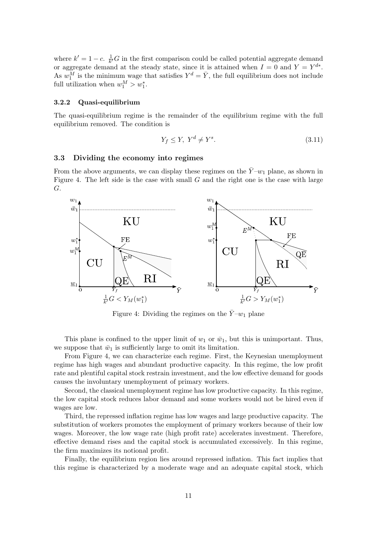where  $k' = 1 - c$ .  $\frac{1}{k'}G$  in the first comparison could be called potential aggregate demand where  $\kappa = 1 - c$ .  $\overline{k}$  or in the first comparison could be called potential aggregate demand<br>or aggregate demand at the steady state, since it is attained when  $I = 0$  and  $Y = Y^{d*}$ . As  $w_1^M$  is the minimum wage that satisfies  $Y^d = \overline{Y}$ , the full equilibrium does not include full utilization when  $w_1^M > w_1^*$ .

#### 3.2.2 Quasi-equilibrium

The quasi-equilibrium regime is the remainder of the equilibrium regime with the full equilibrium removed. The condition is

$$
Y_f \le Y, \ Y^d \ne Y^s. \tag{3.11}
$$

#### 3.3 Dividing the economy into regimes

From the above arguments, we can display these regimes on the  $\bar{Y}-w_1$  plane, as shown in Figure 4. The left side is the case with small  $G$  and the right one is the case with large G.



Figure 4: Dividing the regimes on the  $\bar{Y}-w_1$  plane

This plane is confined to the upper limit of  $w_1$  or  $\bar{w}_1$ , but this is unimportant. Thus, we suppose that  $\bar{w}_1$  is sufficiently large to omit its limitation.

From Figure 4, we can characterize each regime. First, the Keynesian unemployment regime has high wages and abundant productive capacity. In this regime, the low profit rate and plentiful capital stock restrain investment, and the low effective demand for goods causes the involuntary unemployment of primary workers.

Second, the classical unemployment regime has low productive capacity. In this regime, the low capital stock reduces labor demand and some workers would not be hired even if wages are low.

Third, the repressed inflation regime has low wages and large productive capacity. The substitution of workers promotes the employment of primary workers because of their low wages. Moreover, the low wage rate (high profit rate) accelerates investment. Therefore, effective demand rises and the capital stock is accumulated excessively. In this regime, the firm maximizes its notional profit.

Finally, the equilibrium region lies around repressed inflation. This fact implies that this regime is characterized by a moderate wage and an adequate capital stock, which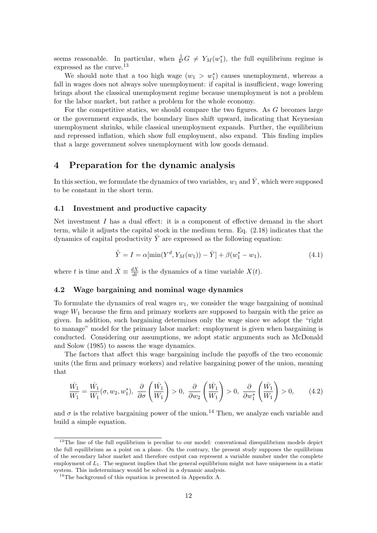seems reasonable. In particular, when  $\frac{1}{k'}G \neq Y_M(w_1^*)$ , the full equilibrium regime is expressed as the curve.<sup>13</sup>

We should note that a too high wage  $(w_1 > w_1^*)$  causes unemployment, whereas a fall in wages does not always solve unemployment: if capital is insufficient, wage lowering brings about the classical unemployment regime because unemployment is not a problem for the labor market, but rather a problem for the whole economy.

For the competitive statics, we should compare the two figures. As G becomes large or the government expands, the boundary lines shift upward, indicating that Keynesian unemployment shrinks, while classical unemployment expands. Further, the equilibrium and repressed inflation, which show full employment, also expand. This finding implies that a large government solves unemployment with low goods demand.

## 4 Preparation for the dynamic analysis

In this section, we formulate the dynamics of two variables,  $w_1$  and  $\overline{Y}$ , which were supposed to be constant in the short term.

#### 4.1 Investment and productive capacity

Net investment I has a dual effect: it is a component of effective demand in the short term, while it adjusts the capital stock in the medium term. Eq. (2.18) indicates that the dynamics of capital productivity  $\overline{Y}$  are expressed as the following equation:

$$
\dot{\bar{Y}} = I = \alpha[\min(Y^d, Y_M(w_1)) - \bar{Y}] + \beta(w_1^* - w_1),\tag{4.1}
$$

where t is time and  $\dot{X} \equiv \frac{dX}{dt}$  is the dynamics of a time variable  $X(t)$ .

#### 4.2 Wage bargaining and nominal wage dynamics

To formulate the dynamics of real wages  $w_1$ , we consider the wage bargaining of nominal wage  $W_1$  because the firm and primary workers are supposed to bargain with the price as given. In addition, such bargaining determines only the wage since we adopt the "right to manage" model for the primary labor market: employment is given when bargaining is conducted. Considering our assumptions, we adopt static arguments such as McDonald and Solow (1985) to assess the wage dynamics.

The factors that affect this wage bargaining include the payoffs of the two economic units (the firm and primary workers) and relative bargaining power of the union, meaning that

$$
\frac{\dot{W}_1}{W_1} = \frac{\dot{W}_1}{W_1}(\sigma, w_2, w_1^*), \quad \frac{\partial}{\partial \sigma} \left( \frac{\dot{W}_1}{W_1} \right) > 0, \quad \frac{\partial}{\partial w_2} \left( \frac{\dot{W}_1}{W_1} \right) > 0, \quad \frac{\partial}{\partial w_1^*} \left( \frac{\dot{W}_1}{W_1} \right) > 0, \quad (4.2)
$$

and  $\sigma$  is the relative bargaining power of the union.<sup>14</sup> Then, we analyze each variable and build a simple equation.

 $13$ The line of the full equilibrium is peculiar to our model: conventional disequilibrium models depict the full equilibrium as a point on a plane. On the contrary, the present study supposes the equilibrium of the secondary labor market and therefore output can represent a variable number under the complete employment of  $L_1$ . The segment implies that the general equilibrium might not have uniqueness in a static system. This indeterminacy would be solved in a dynamic analysis.

<sup>&</sup>lt;sup>14</sup>The background of this equation is presented in Appendix A.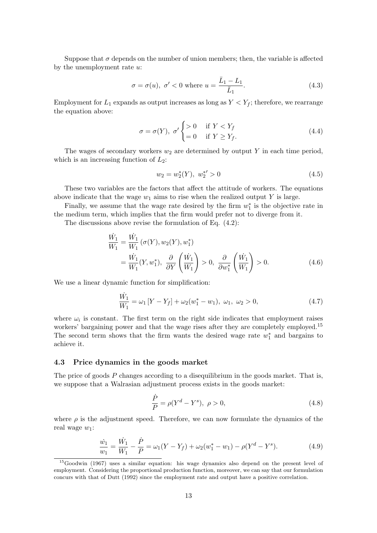Suppose that  $\sigma$  depends on the number of union members; then, the variable is affected by the unemployment rate u:

$$
\sigma = \sigma(u), \ \sigma' < 0 \text{ where } u = \frac{\bar{L}_1 - L_1}{\bar{L}_1}.\tag{4.3}
$$

Employment for  $L_1$  expands as output increases as long as  $Y < Y_f$ ; therefore, we rearrange the equation above:

$$
\sigma = \sigma(Y), \ \sigma' \begin{cases} > 0 & \text{if } Y < Y_f \\ = 0 & \text{if } Y \ge Y_f. \end{cases} \tag{4.4}
$$

The wages of secondary workers  $w_2$  are determined by output Y in each time period, which is an increasing function of  $L_2$ :

$$
w_2 = w_2^*(Y), \ w_2^{*'} > 0 \tag{4.5}
$$

These two variables are the factors that affect the attitude of workers. The equations above indicate that the wage  $w_1$  aims to rise when the realized output Y is large.

Finally, we assume that the wage rate desired by the firm  $w_1^*$  is the objective rate in the medium term, which implies that the firm would prefer not to diverge from it.

The discussions above revise the formulation of Eq. (4.2):

$$
\frac{\dot{W}_1}{W_1} = \frac{\dot{W}_1}{W_1} (\sigma(Y), w_2(Y), w_1^*)
$$
\n
$$
= \frac{\dot{W}_1}{W_1} (Y, w_1^*), \quad \frac{\partial}{\partial Y} \left( \frac{\dot{W}_1}{W_1} \right) > 0, \quad \frac{\partial}{\partial w_1^*} \left( \frac{\dot{W}_1}{W_1} \right) > 0. \tag{4.6}
$$

We use a linear dynamic function for simplification:

$$
\frac{\dot{W}_1}{W_1} = \omega_1 \left[ Y - Y_f \right] + \omega_2 (w_1^* - w_1), \ \omega_1, \ \omega_2 > 0, \tag{4.7}
$$

where  $\omega_i$  is constant. The first term on the right side indicates that employment raises workers' bargaining power and that the wage rises after they are completely employed.<sup>15</sup> The second term shows that the firm wants the desired wage rate  $w_1^*$  and bargains to achieve it.

#### 4.3 Price dynamics in the goods market

The price of goods  $P$  changes according to a disequilibrium in the goods market. That is, we suppose that a Walrasian adjustment process exists in the goods market:

$$
\frac{\dot{P}}{P} = \rho (Y^d - Y^s), \ \rho > 0,
$$
\n(4.8)

where  $\rho$  is the adjustment speed. Therefore, we can now formulate the dynamics of the real wage  $w_1$ :

$$
\frac{\dot{w}_1}{w_1} = \frac{\dot{W}_1}{W_1} - \frac{\dot{P}}{P} = \omega_1 (Y - Y_f) + \omega_2 (w_1^* - w_1) - \rho (Y^d - Y^s).
$$
\n(4.9)

<sup>&</sup>lt;sup>15</sup>Goodwin (1967) uses a similar equation: his wage dynamics also depend on the present level of employment. Considering the proportional production function, moreover, we can say that our formulation concurs with that of Dutt (1992) since the employment rate and output have a positive correlation.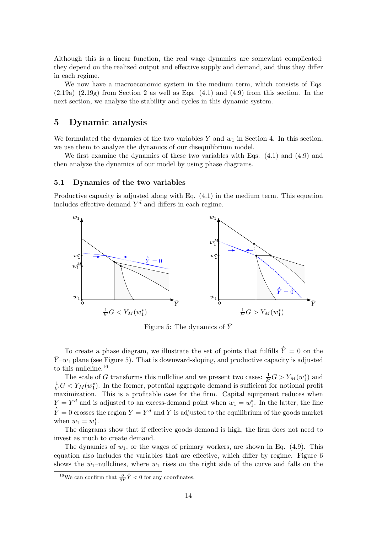Although this is a linear function, the real wage dynamics are somewhat complicated: they depend on the realized output and effective supply and demand, and thus they differ in each regime.

We now have a macroeconomic system in the medium term, which consists of Eqs.  $(2.19a)$ – $(2.19g)$  from Section 2 as well as Eqs.  $(4.1)$  and  $(4.9)$  from this section. In the next section, we analyze the stability and cycles in this dynamic system.

## 5 Dynamic analysis

We formulated the dynamics of the two variables  $\overline{Y}$  and  $w_1$  in Section 4. In this section, we use them to analyze the dynamics of our disequilibrium model.

We first examine the dynamics of these two variables with Eqs. (4.1) and (4.9) and then analyze the dynamics of our model by using phase diagrams.

#### 5.1 Dynamics of the two variables

Productive capacity is adjusted along with Eq. (4.1) in the medium term. This equation includes effective demand  $Y^d$  and differs in each regime.



Figure 5: The dynamics of  $\bar{Y}$ 

To create a phase diagram, we illustrate the set of points that fulfills  $\dot{\vec{Y}} = 0$  on the  $\bar{Y}-w_1$  plane (see Figure 5). That is downward-sloping, and productive capacity is adjusted to this nullcline.<sup>16</sup>

The scale of G transforms this nullcline and we present two cases:  $\frac{1}{k}G > Y_M(w_1^*)$  and 1  $\frac{1}{k}G < Y_M(w_1^*)$ . In the former, potential aggregate demand is sufficient for notional profit maximization. This is a profitable case for the firm. Capital equipment reduces when  $Y = Y<sup>d</sup>$  and is adjusted to an excess-demand point when  $w_1 = w_1^*$ . In the latter, the line  $\dot{\overline{Y}} = 0$  crosses the region  $Y = Y^d$  and  $\overline{Y}$  is adjusted to the equilibrium of the goods market when  $w_1 = w_1^*$ .

The diagrams show that if effective goods demand is high, the firm does not need to invest as much to create demand.

The dynamics of  $w_1$ , or the wages of primary workers, are shown in Eq. (4.9). This equation also includes the variables that are effective, which differ by regime. Figure 6 shows the  $\dot{w}_1$ -nullclines, where  $w_1$  rises on the right side of the curve and falls on the

<sup>&</sup>lt;sup>16</sup>We can confirm that  $\frac{\partial}{\partial \tilde{Y}}\dot{\tilde{Y}}$  < 0 for any coordinates.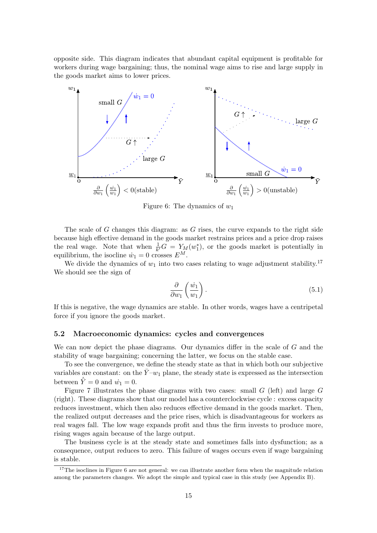opposite side. This diagram indicates that abundant capital equipment is profitable for workers during wage bargaining; thus, the nominal wage aims to rise and large supply in the goods market aims to lower prices.



Figure 6: The dynamics of  $w_1$ 

The scale of G changes this diagram: as G rises, the curve expands to the right side because high effective demand in the goods market restrains prices and a price drop raises the real wage. Note that when  $\frac{1}{k'}G = Y_M(w_1^*)$ , or the goods market is potentially in equilibrium, the isocline  $\dot{w}_1 = 0$  crosses  $E^M$ .

We divide the dynamics of  $w_1$  into two cases relating to wage adjustment stability.<sup>17</sup> We should see the sign of

$$
\frac{\partial}{\partial w_1} \left( \frac{\dot{w}_1}{w_1} \right). \tag{5.1}
$$

If this is negative, the wage dynamics are stable. In other words, wages have a centripetal force if you ignore the goods market.

#### 5.2 Macroeconomic dynamics: cycles and convergences

We can now depict the phase diagrams. Our dynamics differ in the scale of G and the stability of wage bargaining; concerning the latter, we focus on the stable case.

To see the convergence, we define the steady state as that in which both our subjective variables are constant: on the  $\bar{Y}-w_1$  plane, the steady state is expressed as the intersection between  $\overline{Y} = 0$  and  $\overline{w}_1 = 0$ .

Figure 7 illustrates the phase diagrams with two cases: small  $G$  (left) and large  $G$ (right). These diagrams show that our model has a counterclockwise cycle : excess capacity reduces investment, which then also reduces effective demand in the goods market. Then, the realized output decreases and the price rises, which is disadvantageous for workers as real wages fall. The low wage expands profit and thus the firm invests to produce more, rising wages again because of the large output.

The business cycle is at the steady state and sometimes falls into dysfunction; as a consequence, output reduces to zero. This failure of wages occurs even if wage bargaining is stable.

<sup>&</sup>lt;sup>17</sup>The isoclines in Figure 6 are not general: we can illustrate another form when the magnitude relation among the parameters changes. We adopt the simple and typical case in this study (see Appendix B).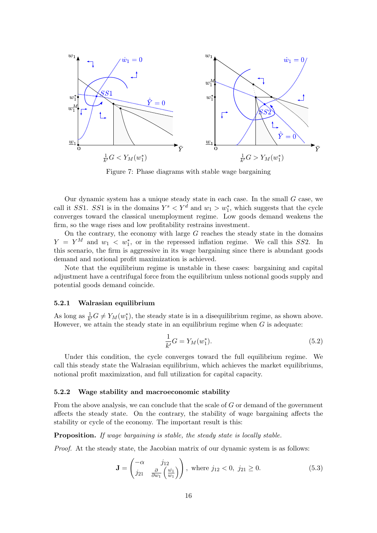

Figure 7: Phase diagrams with stable wage bargaining

Our dynamic system has a unique steady state in each case. In the small  $G$  case, we call it SS1. SS1 is in the domains  $Y^s \nvert Y^d$  and  $w_1 \nvert W_1$ , which suggests that the cycle converges toward the classical unemployment regime. Low goods demand weakens the firm, so the wage rises and low profitability restrains investment.

On the contrary, the economy with large  $G$  reaches the steady state in the domains  $Y = Y^M$  and  $w_1 < w_1^*$ , or in the repressed inflation regime. We call this SS2. In this scenario, the firm is aggressive in its wage bargaining since there is abundant goods demand and notional profit maximization is achieved.

Note that the equilibrium regime is unstable in these cases: bargaining and capital adjustment have a centrifugal force from the equilibrium unless notional goods supply and potential goods demand coincide.

#### 5.2.1 Walrasian equilibrium

As long as  $\frac{1}{k'}G \neq Y_M(w_1^*)$ , the steady state is in a disequilibrium regime, as shown above. However, we attain the steady state in an equilibrium regime when  $G$  is adequate:

$$
\frac{1}{k'}G = Y_M(w_1^*). \tag{5.2}
$$

Under this condition, the cycle converges toward the full equilibrium regime. We call this steady state the Walrasian equilibrium, which achieves the market equilibriums, notional profit maximization, and full utilization for capital capacity.

#### 5.2.2 Wage stability and macroeconomic stability

From the above analysis, we can conclude that the scale of  $G$  or demand of the government affects the steady state. On the contrary, the stability of wage bargaining affects the stability or cycle of the economy. The important result is this:

Proposition. *If wage bargaining is stable, the steady state is locally stable.*

*Proof.* At the steady state, the Jacobian matrix of our dynamic system is as follows:

$$
\mathbf{J} = \begin{pmatrix} -\alpha & j_{12} \\ j_{21} & \frac{\partial}{\partial w_1} \left( \frac{\dot{w_1}}{w_1} \right) \end{pmatrix}, \text{ where } j_{12} < 0, j_{21} \ge 0.
$$
 (5.3)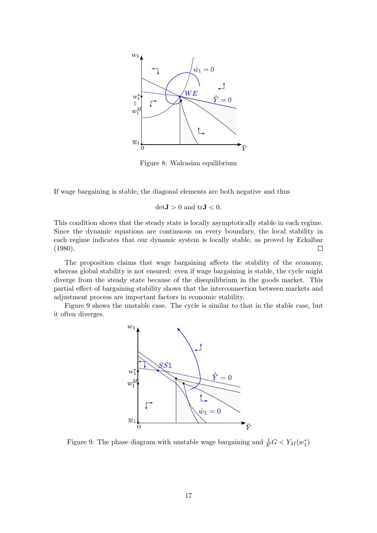

Figure 8: Walrasian equilibrium

If wage bargaining is stable, the diagonal elements are both negative and thus

 $det J > 0$  and  $tr J < 0$ .

This condition shows that the steady state is locally asymptotically stable in each regime. Since the dynamic equations are continuous on every boundary, the local stability in each regime indicates that our dynamic system is locally stable, as proved by Eckalbar (1980).  $\Box$ 

The proposition claims that wage bargaining affects the stability of the economy, whereas global stability is not ensured: even if wage bargaining is stable, the cycle might diverge from the steady state because of the disequilibrium in the goods market. This partial effect of bargaining stability shows that the interconnection between markets and adjustment process are important factors in economic stability.

Figure 9 shows the unstable case. The cycle is similar to that in the stable case, but it often diverges.



Figure 9: The phase diagram with unstable wage bargaining and  $\frac{1}{k'}G < Y_M(w_1^*)$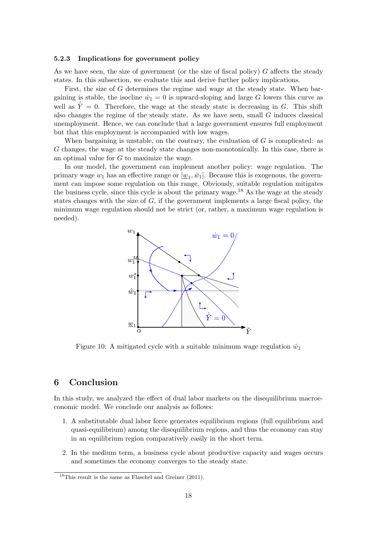#### 5.2.3 Implications for government policy

As we have seen, the size of government (or the size of fiscal policy)  $G$  affects the steady states. In this subsection, we evaluate this and derive further policy implications.

First, the size of G determines the regime and wage at the steady state. When bargaining is stable, the isocline  $\dot{w}_1 = 0$  is upward-sloping and large G lowers this curve as well as  $\overline{Y} = 0$ . Therefore, the wage at the steady state is decreasing in G. This shift also changes the regime of the steady state. As we have seen, small  $G$  induces classical unemployment. Hence, we can conclude that a large government ensures full employment but that this employment is accompanied with low wages.

When bargaining is unstable, on the contrary, the evaluation of  $G$  is complicated: as G changes, the wage at the steady state changes non-monotonically. In this case, there is an optimal value for G to maximize the wage.

In our model, the government can implement another policy: wage regulation. The primary wage  $w_1$  has an effective range or  $[\underline{w}_1, \bar{w}_1]$ . Because this is exogenous, the government can impose some regulation on this range. Obviously, suitable regulation mitigates the business cycle, since this cycle is about the primary wage.<sup>18</sup> As the wage at the steady states changes with the size of  $G$ , if the government implements a large fiscal policy, the minimum wage regulation should not be strict (or, rather, a maximum wage regulation is needed).



Figure 10: A mitigated cycle with a suitable minimum wage regulation  $\hat{w}_1$ 

## 6 Conclusion

In this study, we analyzed the effect of dual labor markets on the disequilibrium macroeconomic model. We conclude our analysis as follows:

- 1. A substitutable dual labor force generates equilibrium regions (full equilibrium and quasi-equilibrium) among the disequilibrium regions, and thus the economy can stay in an equilibrium region comparatively easily in the short term.
- 2. In the medium term, a business cycle about productive capacity and wages occurs and sometimes the economy converges to the steady state.

<sup>&</sup>lt;sup>18</sup>This result is the same as Flaschel and Greiner (2011).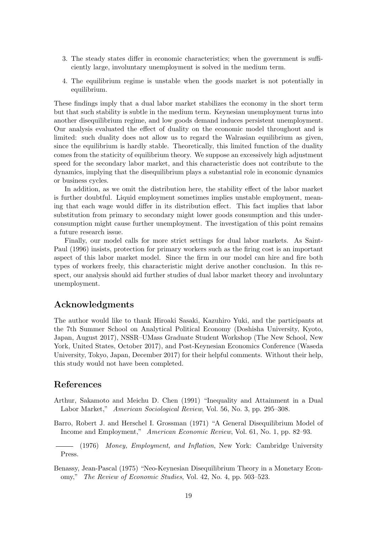- 3. The steady states differ in economic characteristics; when the government is sufficiently large, involuntary unemployment is solved in the medium term.
- 4. The equilibrium regime is unstable when the goods market is not potentially in equilibrium.

These findings imply that a dual labor market stabilizes the economy in the short term but that such stability is subtle in the medium term. Keynesian unemployment turns into another disequilibrium regime, and low goods demand induces persistent unemployment. Our analysis evaluated the effect of duality on the economic model throughout and is limited: such duality does not allow us to regard the Walrasian equilibrium as given, since the equilibrium is hardly stable. Theoretically, this limited function of the duality comes from the staticity of equilibrium theory. We suppose an excessively high adjustment speed for the secondary labor market, and this characteristic does not contribute to the dynamics, implying that the disequilibrium plays a substantial role in economic dynamics or business cycles.

In addition, as we omit the distribution here, the stability effect of the labor market is further doubtful. Liquid employment sometimes implies unstable employment, meaning that each wage would differ in its distribution effect. This fact implies that labor substitution from primary to secondary might lower goods consumption and this underconsumption might cause further unemployment. The investigation of this point remains a future research issue.

Finally, our model calls for more strict settings for dual labor markets. As Saint-Paul (1996) insists, protection for primary workers such as the firing cost is an important aspect of this labor market model. Since the firm in our model can hire and fire both types of workers freely, this characteristic might derive another conclusion. In this respect, our analysis should aid further studies of dual labor market theory and involuntary unemployment.

## Acknowledgments

The author would like to thank Hiroaki Sasaki, Kazuhiro Yuki, and the participants at the 7th Summer School on Analytical Political Economy (Doshisha University, Kyoto, Japan, August 2017), NSSR–UMass Graduate Student Workshop (The New School, New York, United States, October 2017), and Post-Keynesian Economics Conference (Waseda University, Tokyo, Japan, December 2017) for their helpful comments. Without their help, this study would not have been completed.

## References

- Arthur, Sakamoto and Meichu D. Chen (1991) "Inequality and Attainment in a Dual Labor Market," *American Sociological Review*, Vol. 56, No. 3, pp. 295–308.
- Barro, Robert J. and Herschel I. Grossman (1971) "A General Disequilibrium Model of Income and Employment," *American Economic Review*, Vol. 61, No. 1, pp. 82–93.

(1976) *Money, Employment, and Inflation*, New York: Cambridge University Press.

Benassy, Jean-Pascal (1975) "Neo-Keynesian Disequilibrium Theory in a Monetary Economy," *The Review of Economic Studies*, Vol. 42, No. 4, pp. 503–523.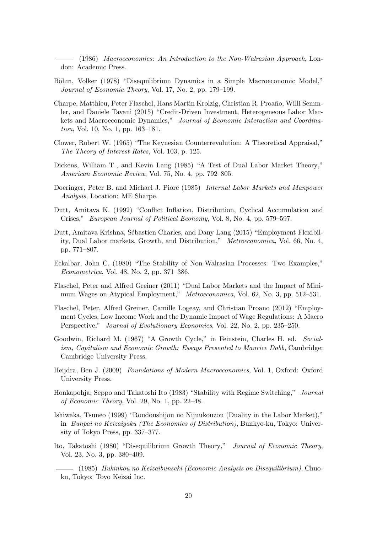(1986) *Macroeconomics: An Introduction to the Non-Walrasian Approach*, London: Academic Press.

- Böhm, Volker (1978) "Disequilibrium Dynamics in a Simple Macroeconomic Model," *Journal of Economic Theory*, Vol. 17, No. 2, pp. 179–199.
- Charpe, Matthieu, Peter Flaschel, Hans Martin Krolzig, Christian R. Proaño, Willi Semmler, and Daniele Tavani (2015) "Credit-Driven Investment, Heterogeneous Labor Markets and Macroeconomic Dynamics," *Journal of Economic Interaction and Coordination*, Vol. 10, No. 1, pp. 163–181.
- Clower, Robert W. (1965) "The Keynesian Counterrevolution: A Theoretical Appraisal," *The Theory of Interest Rates*, Vol. 103, p. 125.
- Dickens, William T., and Kevin Lang (1985) "A Test of Dual Labor Market Theory," *American Economic Review*, Vol. 75, No. 4, pp. 792–805.
- Doeringer, Peter B. and Michael J. Piore (1985) *Internal Labor Markets and Manpower Analysis*, Location: ME Sharpe.
- Dutt, Amitava K. (1992) "Conflict Inflation, Distribution, Cyclical Accumulation and Crises," *European Journal of Political Economy*, Vol. 8, No. 4, pp. 579–597.
- Dutt, Amitava Krishna, Sébastien Charles, and Dany Lang (2015) "Employment Flexibility, Dual Labor markets, Growth, and Distribution," *Metroeconomica*, Vol. 66, No. 4, pp. 771–807.
- Eckalbar, John C. (1980) "The Stability of Non-Walrasian Processes: Two Examples," *Econometrica*, Vol. 48, No. 2, pp. 371–386.
- Flaschel, Peter and Alfred Greiner (2011) "Dual Labor Markets and the Impact of Minimum Wages on Atypical Employment," *Metroeconomica*, Vol. 62, No. 3, pp. 512–531.
- Flaschel, Peter, Alfred Greiner, Camille Logeay, and Christian Proano (2012) "Employment Cycles, Low Income Work and the Dynamic Impact of Wage Regulations: A Macro Perspective," *Journal of Evolutionary Economics*, Vol. 22, No. 2, pp. 235–250.
- Goodwin, Richard M. (1967) "A Growth Cycle," in Feinstein, Charles H. ed. *Socialism, Capitalism and Economic Growth: Essays Presented to Maurice Dobb*, Cambridge: Cambridge University Press.
- Heijdra, Ben J. (2009) *Foundations of Modern Macroeconomics*, Vol. 1, Oxford: Oxford University Press.
- Honkapohja, Seppo and Takatoshi Ito (1983) "Stability with Regime Switching," *Journal of Economic Theory*, Vol. 29, No. 1, pp. 22–48.
- Ishiwaka, Tsuneo (1999) "Roudoushijou no Nijuukouzou (Duality in the Labor Market)," in *Bunpai no Keizaigaku (The Economics of Distribution)*, Bunkyo-ku, Tokyo: University of Tokyo Press, pp. 337–377.
- Ito, Takatoshi (1980) "Disequilibrium Growth Theory," *Journal of Economic Theory*, Vol. 23, No. 3, pp. 380–409.
- (1985) *Hukinkou no Keizaibunseki (Economic Analysis on Disequilibrium)*, Chuoku, Tokyo: Toyo Keizai Inc.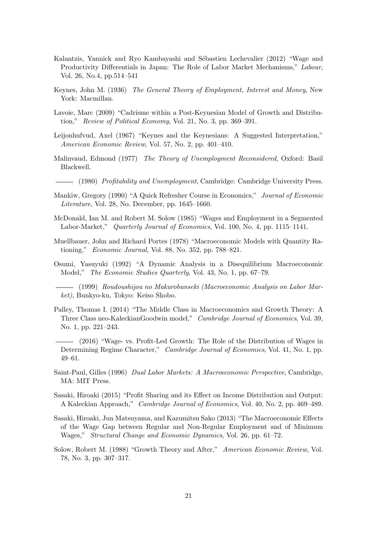- Kalantzis, Yannick and Ryo Kambayashi and Sébastien Lechevalier (2012) "Wage and Productivity Differentials in Japan: The Role of Labor Market Mechanisms," *Labour*, Vol. 26, No.4, pp.514–541
- Keynes, John M. (1936) *The General Theory of Employment, Interest and Money*, New York: Macmillan.
- Lavoie, Marc (2009) "Cadrisme within a Post-Keynesian Model of Growth and Distribution," *Review of Political Economy*, Vol. 21, No. 3, pp. 369–391.
- Leijonhufvud, Axel (1967) "Keynes and the Keynesians: A Suggested Interpretation," *American Economic Review*, Vol. 57, No. 2, pp. 401–410.
- Malinvaud, Edmond (1977) *The Theory of Unemployment Reconsidered*, Oxford: Basil Blackwell.
- (1980) *Profitability and Unemployment*, Cambridge: Cambridge University Press.
- Mankiw, Gregory (1990) "A Quick Refresher Course in Economics," *Journal of Economic Literature*, Vol. 28, No. December, pp. 1645–1660.
- McDonald, Ian M. and Robert M. Solow (1985) "Wages and Employment in a Segmented Labor-Market," *Quarterly Journal of Economics*, Vol. 100, No. 4, pp. 1115–1141.
- Muellbauer, John and Richard Portes (1978) "Macroeconomic Models with Quantity Rationing," *Economic Journal*, Vol. 88, No. 352, pp. 788–821.
- Osumi, Yasuyuki (1992) "A Dynamic Analysis in a Disequilibrium Macroeconomic Model," *The Economic Studies Quarterly*, Vol. 43, No. 1, pp. 67–79.
- (1999) *Roudoushijou no Makurobunseki (Macroeconomic Analysis on Labor Market)*, Bunkyo-ku, Tokyo: Keiso Shobo.
- Palley, Thomas I. (2014) "The Middle Class in Macroeconomics and Growth Theory: A Three Class neo-KaleckianGoodwin model," *Cambridge Journal of Economics*, Vol. 39, No. 1, pp. 221–243.
- (2016) "Wage- vs. Profit-Led Growth: The Role of the Distribution of Wages in Determining Regime Character," *Cambridge Journal of Economics*, Vol. 41, No. 1, pp. 49–61.
- Saint-Paul, Gilles (1996) *Dual Labor Markets: A Macroeconomic Perspective*, Cambridge, MA: MIT Press.
- Sasaki, Hiroaki (2015) "Profit Sharing and its Effect on Income Distribution and Output: A Kaleckian Approach," *Cambridge Journal of Economics*, Vol. 40, No. 2, pp. 469–489.
- Sasaki, Hiroaki, Jun Matsuyama, and Kazumitsu Sako (2013) "The Macroeconomic Effects of the Wage Gap between Regular and Non-Regular Employment and of Minimum Wages," *Structural Change and Economic Dynamics*, Vol. 26, pp. 61–72.
- Solow, Robert M. (1988) "Growth Theory and After," *American Economic Review*, Vol. 78, No. 3, pp. 307–317.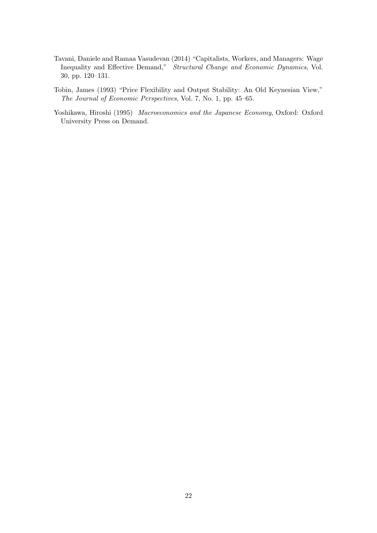- Tavani, Daniele and Ramaa Vasudevan (2014) "Capitalists, Workers, and Managers: Wage Inequality and Effective Demand," *Structural Change and Economic Dynamics*, Vol. 30, pp. 120–131.
- Tobin, James (1993) "Price Flexibility and Output Stability: An Old Keynesian View," *The Journal of Economic Perspectives*, Vol. 7, No. 1, pp. 45–65.
- Yoshikawa, Hiroshi (1995) *Macroeconomics and the Japanese Economy*, Oxford: Oxford University Press on Demand.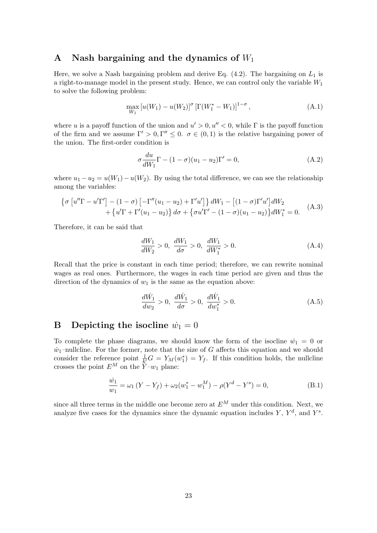## A Nash bargaining and the dynamics of  $W_1$

Here, we solve a Nash bargaining problem and derive Eq.  $(4.2)$ . The bargaining on  $L_1$  is a right-to-manage model in the present study. Hence, we can control only the variable  $W_1$ to solve the following problem:

$$
\max_{W_1} [u(W_1) - u(W_2)]^{\sigma} \left[ \Gamma(W_1^* - W_1) \right]^{1 - \sigma}, \tag{A.1}
$$

where u is a payoff function of the union and  $u' > 0, u'' < 0$ , while  $\Gamma$  is the payoff function of the firm and we assume  $\Gamma' > 0, \Gamma'' \leq 0$ .  $\sigma \in (0,1)$  is the relative bargaining power of the union. The first-order condition is

$$
\sigma \frac{du}{dW_1} \Gamma - (1 - \sigma)(u_1 - u_2) \Gamma' = 0,
$$
\n(A.2)

where  $u_1 - u_2 = u(W_1) - u(W_2)$ . By using the total difference, we can see the relationship among the variables:

$$
\left\{\sigma \left[u''\Gamma - u'\Gamma'\right] - (1 - \sigma)\left[-\Gamma''(u_1 - u_2) + \Gamma'u'\right]\right\}dW_1 - \left[(1 - \sigma)\Gamma'u'\right]dW_2 + \left\{u'\Gamma + \Gamma'(u_1 - u_2)\right\}d\sigma + \left\{\sigma u'\Gamma' - (1 - \sigma)(u_1 - u_2)\right\}dW_1^* = 0.
$$
 (A.3)

Therefore, it can be said that

$$
\frac{dW_1}{dW_2} > 0, \ \frac{dW_1}{d\sigma} > 0, \ \frac{dW_1}{dW_1^*} > 0.
$$
\n(A.4)

Recall that the price is constant in each time period; therefore, we can rewrite nominal wages as real ones. Furthermore, the wages in each time period are given and thus the direction of the dynamics of  $w_1$  is the same as the equation above:

$$
\frac{d\dot{W}_1}{dw_2} > 0, \quad \frac{d\dot{W}_1}{d\sigma} > 0, \quad \frac{d\dot{W}_1}{dw_1^*} > 0.
$$
\n(A.5)

## **B** Depicting the isocline  $\dot{w}_1 = 0$

To complete the phase diagrams, we should know the form of the isocline  $\dot{w}_1 = 0$  or  $\dot{w}_1$ –nullcline. For the former, note that the size of G affects this equation and we should consider the reference point  $\frac{1}{k'}G = Y_M(w_1^*) = Y_f$ . If this condition holds, the nullcline crosses the point  $E^M$  on the  $\overline{Y}$ - $w_1$  plane:

$$
\frac{\dot{w}_1}{w_1} = \omega_1 (Y - Y_f) + \omega_2 (w_1^* - w_1^M) - \rho (Y^d - Y^s) = 0,
$$
\n(B.1)

since all three terms in the middle one become zero at  $E^M$  under this condition. Next, we analyze five cases for the dynamics since the dynamic equation includes Y,  $Y^d$ , and  $Y^s$ .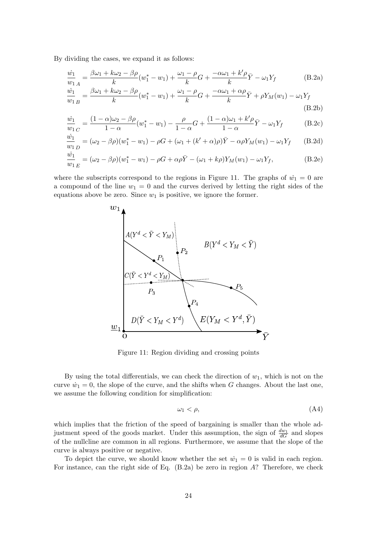By dividing the cases, we expand it as follows:

$$
\frac{\dot{w}_1}{w_1}_A = \frac{\beta \omega_1 + k \omega_2 - \beta \rho}{k} (w_1^* - w_1) + \frac{\omega_1 - \rho}{k} G + \frac{-\alpha \omega_1 + k' \rho}{k} \bar{Y} - \omega_1 Y_f
$$
\n(B.2a)

$$
\frac{\dot{w}_1}{w_1} = \frac{\beta \omega_1 + k \omega_2 - \beta \rho}{k} (w_1^* - w_1) + \frac{\omega_1 - \rho}{k} G + \frac{-\alpha \omega_1 + \alpha \rho}{k} \bar{Y} + \rho Y_M(w_1) - \omega_1 Y_f
$$
\n(B.2b)

$$
\frac{\dot{w}_1}{w_1} = \frac{(1 - \alpha)\omega_2 - \beta\rho}{1 - \alpha}(w_1^* - w_1) - \frac{\rho}{1 - \alpha}G + \frac{(1 - \alpha)\omega_1 + k'\rho}{1 - \alpha}\bar{Y} - \omega_1Y_f
$$
(B.2c)

$$
\frac{\dot{w}_1}{w_1} = (\omega_2 - \beta \rho)(w_1^* - w_1) - \rho G + (\omega_1 + (k' + \alpha)\rho)\bar{Y} - \alpha \rho Y_M(w_1) - \omega_1 Y_f \tag{B.2d}
$$

$$
\frac{\dot{w}_1}{w_1}_{E} = (\omega_2 - \beta \rho)(w_1^* - w_1) - \rho G + \alpha \rho \bar{Y} - (\omega_1 + k\rho)Y_M(w_1) - \omega_1 Y_f,
$$
\n(B.2e)

where the subscripts correspond to the regions in Figure 11. The graphs of  $\dot{w}_1 = 0$  are a compound of the line  $w_1 = 0$  and the curves derived by letting the right sides of the equations above be zero. Since  $w_1$  is positive, we ignore the former.



Figure 11: Region dividing and crossing points

By using the total differentials, we can check the direction of  $w_1$ , which is not on the curve  $\dot{w}_1 = 0$ , the slope of the curve, and the shifts when G changes. About the last one, we assume the following condition for simplification:

$$
\omega_1 < \rho,\tag{A4}
$$

which implies that the friction of the speed of bargaining is smaller than the whole adjustment speed of the goods market. Under this assumption, the sign of  $\frac{dw_1}{dG}$  and slopes of the nullcline are common in all regions. Furthermore, we assume that the slope of the curve is always positive or negative.

To depict the curve, we should know whether the set  $\dot{w}_1 = 0$  is valid in each region. For instance, can the right side of Eq.  $(B.2a)$  be zero in region A? Therefore, we check